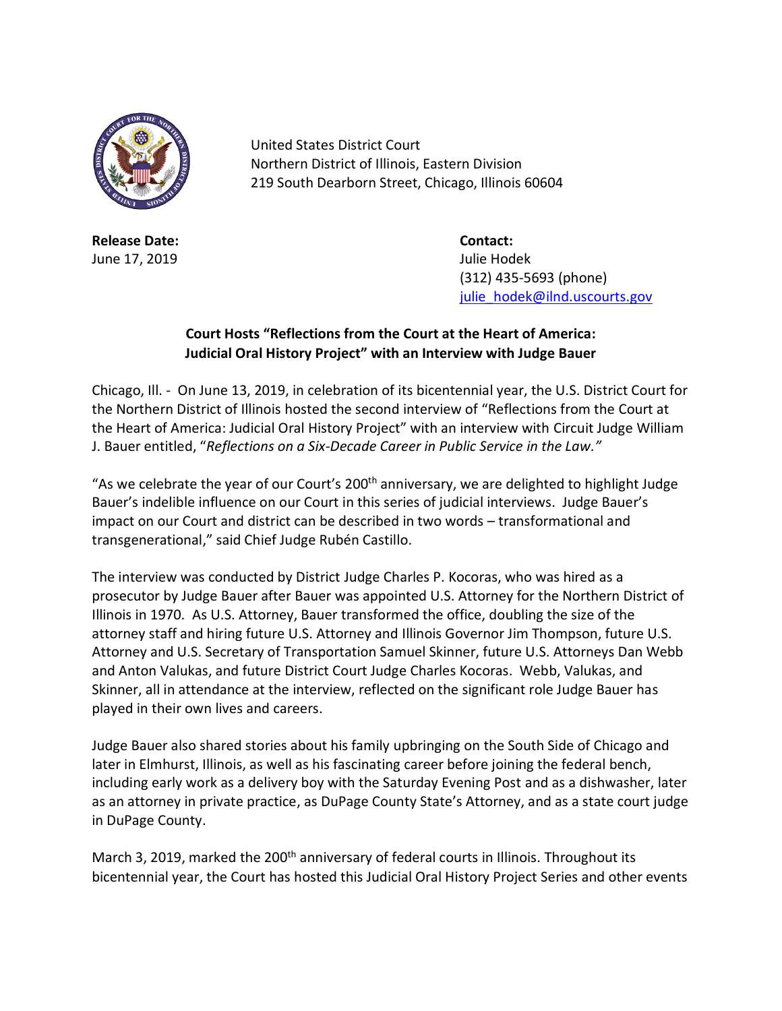

**Release Date: Contact:** June 17, 2019 Julie Hodek

United States District Court Northern District of Illinois, Eastern Division 219 South Dearborn Street, Chicago, Illinois 60604

> (312) 435-5693 (phone) [julie\\_hodek@ilnd.uscourts.gov](mailto:julie_hodek@ilnd.uscourts.gov)

## **Court Hosts "Reflections from the Court at the Heart of America: Judicial Oral History Project" with an Interview with Judge Bauer**

Chicago, Ill. - On June 13, 2019, in celebration of its bicentennial year, the U.S. District Court for the Northern District of Illinois hosted the second interview of "Reflections from the Court at the Heart of America: Judicial Oral History Project" with an interview with Circuit Judge William J. Bauer entitled, "*Reflections on a Six-Decade Career in Public Service in the Law."*

"As we celebrate the year of our Court's 200<sup>th</sup> anniversary, we are delighted to highlight Judge Bauer's indelible influence on our Court in this series of judicial interviews. Judge Bauer's impact on our Court and district can be described in two words – transformational and transgenerational," said Chief Judge Rubén Castillo.

The interview was conducted by District Judge Charles P. Kocoras, who was hired as a prosecutor by Judge Bauer after Bauer was appointed U.S. Attorney for the Northern District of Illinois in 1970. As U.S. Attorney, Bauer transformed the office, doubling the size of the attorney staff and hiring future U.S. Attorney and Illinois Governor Jim Thompson, future U.S. Attorney and U.S. Secretary of Transportation Samuel Skinner, future U.S. Attorneys Dan Webb and Anton Valukas, and future District Court Judge Charles Kocoras. Webb, Valukas, and Skinner, all in attendance at the interview, reflected on the significant role Judge Bauer has played in their own lives and careers.

Judge Bauer also shared stories about his family upbringing on the South Side of Chicago and later in Elmhurst, Illinois, as well as his fascinating career before joining the federal bench, including early work as a delivery boy with the Saturday Evening Post and as a dishwasher, later as an attorney in private practice, as DuPage County State's Attorney, and as a state court judge in DuPage County.

March 3, 2019, marked the 200<sup>th</sup> anniversary of federal courts in Illinois. Throughout its bicentennial year, the Court has hosted this Judicial Oral History Project Series and other events